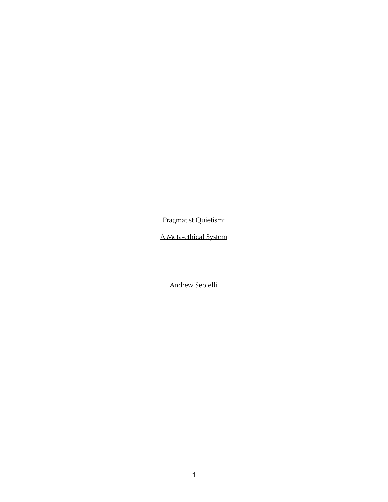Pragmatist Quietism:

A Meta-ethical System

Andrew Sepielli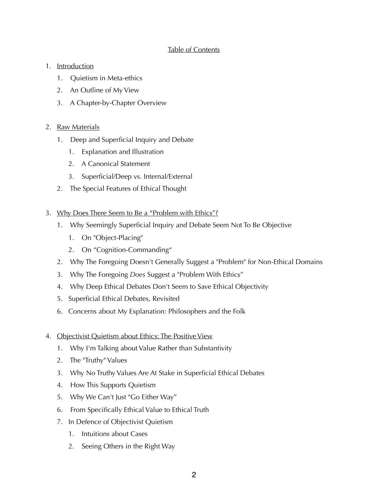## Table of Contents

## 1. Introduction

- 1. Quietism in Meta-ethics
- 2. An Outline of My View
- 3. A Chapter-by-Chapter Overview

# 2. Raw Materials

- 1. Deep and Superficial Inquiry and Debate
	- 1. Explanation and Illustration
	- 2. A Canonical Statement
	- 3. Superficial/Deep vs. Internal/External
- 2. The Special Features of Ethical Thought
- 3. Why Does There Seem to Be a "Problem with Ethics"?
	- 1. Why Seemingly Superficial Inquiry and Debate Seem Not To Be Objective
		- 1. On "Object-Placing"
		- 2. On "Cognition-Commanding"
	- 2. Why The Foregoing Doesn't Generally Suggest a "Problem" for Non-Ethical Domains
	- 3. Why The Foregoing *Does* Suggest a "Problem With Ethics"
	- 4. Why Deep Ethical Debates Don't Seem to Save Ethical Objectivity
	- 5. Superficial Ethical Debates, Revisited
	- 6. Concerns about My Explanation: Philosophers and the Folk
- 4. Objectivist Quietism about Ethics: The Positive View
	- 1. Why I'm Talking about Value Rather than Substantivity
	- 2. The "Truthy" Values
	- 3. Why No Truthy Values Are At Stake in Superficial Ethical Debates
	- 4. How This Supports Quietism
	- 5. Why We Can't Just "Go Either Way"
	- 6. From Specifically Ethical Value to Ethical Truth
	- 7. In Defence of Objectivist Quietism
		- 1. Intuitions about Cases
		- 2. Seeing Others in the Right Way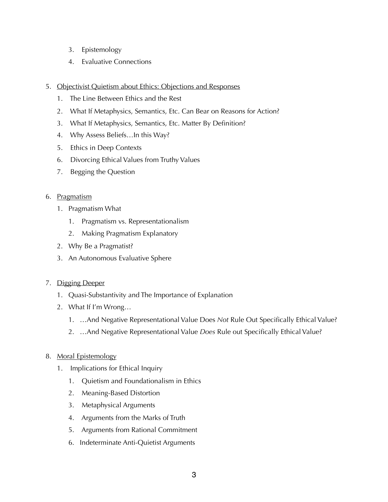- 3. Epistemology
- 4. Evaluative Connections
- 5. Objectivist Quietism about Ethics: Objections and Responses
	- 1. The Line Between Ethics and the Rest
	- 2. What If Metaphysics, Semantics, Etc. Can Bear on Reasons for Action?
	- 3. What If Metaphysics, Semantics, Etc. Matter By Definition?
	- 4. Why Assess Beliefs…In this Way?
	- 5. Ethics in Deep Contexts
	- 6. Divorcing Ethical Values from Truthy Values
	- 7. Begging the Question

#### 6. Pragmatism

- 1. Pragmatism What
	- 1. Pragmatism vs. Representationalism
	- 2. Making Pragmatism Explanatory
- 2. Why Be a Pragmatist?
- 3. An Autonomous Evaluative Sphere

#### 7. Digging Deeper

- 1. Quasi-Substantivity and The Importance of Explanation
- 2. What If I'm Wrong…
	- 1. …And Negative Representational Value Does *Not* Rule Out Specifically Ethical Value?
	- 2. …And Negative Representational Value *Does* Rule out Specifically Ethical Value?

#### 8. Moral Epistemology

- 1. Implications for Ethical Inquiry
	- 1. Quietism and Foundationalism in Ethics
	- 2. Meaning-Based Distortion
	- 3. Metaphysical Arguments
	- 4. Arguments from the Marks of Truth
	- 5. Arguments from Rational Commitment
	- 6. Indeterminate Anti-Quietist Arguments